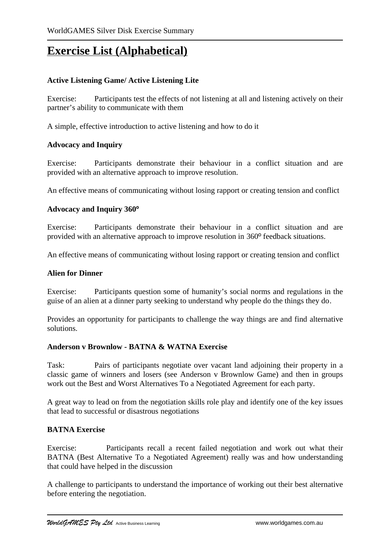# **Exercise List (Alphabetical)**

# **Active Listening Game/ Active Listening Lite**

Exercise: Participants test the effects of not listening at all and listening actively on their partner's ability to communicate with them

A simple, effective introduction to active listening and how to do it

### **Advocacy and Inquiry**

Exercise: Participants demonstrate their behaviour in a conflict situation and are provided with an alternative approach to improve resolution.

An effective means of communicating without losing rapport or creating tension and conflict

### **Advocacy and Inquiry 360º**

Exercise: Participants demonstrate their behaviour in a conflict situation and are provided with an alternative approach to improve resolution in 360º feedback situations.

An effective means of communicating without losing rapport or creating tension and conflict

### **Alien for Dinner**

Exercise: Participants question some of humanity's social norms and regulations in the guise of an alien at a dinner party seeking to understand why people do the things they do.

Provides an opportunity for participants to challenge the way things are and find alternative solutions.

#### **Anderson v Brownlow - BATNA & WATNA Exercise**

Task: Pairs of participants negotiate over vacant land adjoining their property in a classic game of winners and losers (see Anderson v Brownlow Game) and then in groups work out the Best and Worst Alternatives To a Negotiated Agreement for each party.

A great way to lead on from the negotiation skills role play and identify one of the key issues that lead to successful or disastrous negotiations

## **BATNA Exercise**

Exercise: Participants recall a recent failed negotiation and work out what their BATNA (Best Alternative To a Negotiated Agreement) really was and how understanding that could have helped in the discussion

A challenge to participants to understand the importance of working out their best alternative before entering the negotiation.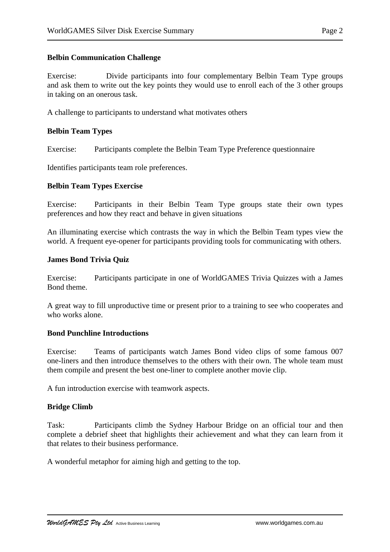#### **Belbin Communication Challenge**

Exercise: Divide participants into four complementary Belbin Team Type groups and ask them to write out the key points they would use to enroll each of the 3 other groups in taking on an onerous task.

A challenge to participants to understand what motivates others

### **Belbin Team Types**

Exercise: Participants complete the Belbin Team Type Preference questionnaire

Identifies participants team role preferences.

### **Belbin Team Types Exercise**

Exercise: Participants in their Belbin Team Type groups state their own types preferences and how they react and behave in given situations

An illuminating exercise which contrasts the way in which the Belbin Team types view the world. A frequent eye-opener for participants providing tools for communicating with others.

#### **James Bond Trivia Quiz**

Exercise: Participants participate in one of WorldGAMES Trivia Quizzes with a James Bond theme.

A great way to fill unproductive time or present prior to a training to see who cooperates and who works alone.

#### **Bond Punchline Introductions**

Exercise: Teams of participants watch James Bond video clips of some famous 007 one-liners and then introduce themselves to the others with their own. The whole team must them compile and present the best one-liner to complete another movie clip.

A fun introduction exercise with teamwork aspects.

## **Bridge Climb**

Task: Participants climb the Sydney Harbour Bridge on an official tour and then complete a debrief sheet that highlights their achievement and what they can learn from it that relates to their business performance.

A wonderful metaphor for aiming high and getting to the top.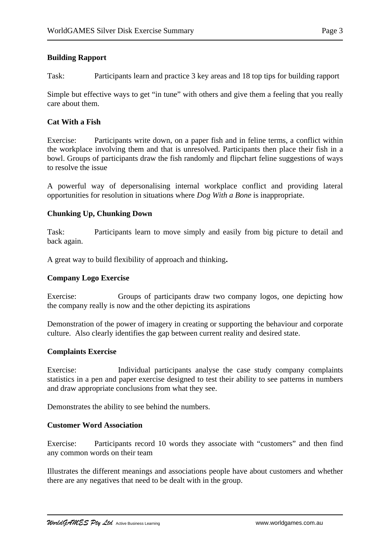## **Building Rapport**

Task: Participants learn and practice 3 key areas and 18 top tips for building rapport

Simple but effective ways to get "in tune" with others and give them a feeling that you really care about them.

## **Cat With a Fish**

Exercise: Participants write down, on a paper fish and in feline terms, a conflict within the workplace involving them and that is unresolved. Participants then place their fish in a bowl. Groups of participants draw the fish randomly and flipchart feline suggestions of ways to resolve the issue

A powerful way of depersonalising internal workplace conflict and providing lateral opportunities for resolution in situations where *Dog With a Bone* is inappropriate.

# **Chunking Up, Chunking Down**

Task: Participants learn to move simply and easily from big picture to detail and back again.

A great way to build flexibility of approach and thinking**.**

## **Company Logo Exercise**

Exercise: Groups of participants draw two company logos, one depicting how the company really is now and the other depicting its aspirations

Demonstration of the power of imagery in creating or supporting the behaviour and corporate culture.Also clearly identifies the gap between current reality and desired state.

## **Complaints Exercise**

Exercise: Individual participants analyse the case study company complaints statistics in a pen and paper exercise designed to test their ability to see patterns in numbers and draw appropriate conclusions from what they see.

Demonstrates the ability to see behind the numbers.

## **Customer Word Association**

Exercise: Participants record 10 words they associate with "customers" and then find any common words on their team

Illustrates the different meanings and associations people have about customers and whether there are any negatives that need to be dealt with in the group.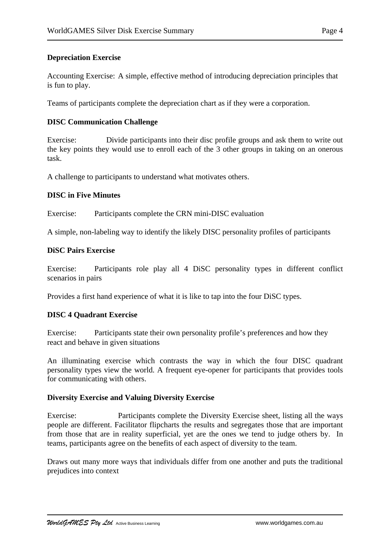## **Depreciation Exercise**

Accounting Exercise: A simple, effective method of introducing depreciation principles that is fun to play.

Teams of participants complete the depreciation chart as if they were a corporation.

## **DISC Communication Challenge**

Exercise: Divide participants into their disc profile groups and ask them to write out the key points they would use to enroll each of the 3 other groups in taking on an onerous task.

A challenge to participants to understand what motivates others.

### **DISC in Five Minutes**

Exercise: Participants complete the CRN mini-DISC evaluation

A simple, non-labeling way to identify the likely DISC personality profiles of participants

#### **DiSC Pairs Exercise**

Exercise: Participants role play all 4 DiSC personality types in different conflict scenarios in pairs

Provides a first hand experience of what it is like to tap into the four DiSC types.

## **DISC 4 Quadrant Exercise**

Exercise: Participants state their own personality profile's preferences and how they react and behave in given situations

An illuminating exercise which contrasts the way in which the four DISC quadrant personality types view the world. A frequent eye-opener for participants that provides tools for communicating with others.

#### **Diversity Exercise and Valuing Diversity Exercise**

Exercise: Participants complete the Diversity Exercise sheet, listing all the ways people are different. Facilitator flipcharts the results and segregates those that are important from those that are in reality superficial, yet are the ones we tend to judge others by. In teams, participants agree on the benefits of each aspect of diversity to the team.

Draws out many more ways that individuals differ from one another and puts the traditional prejudices into context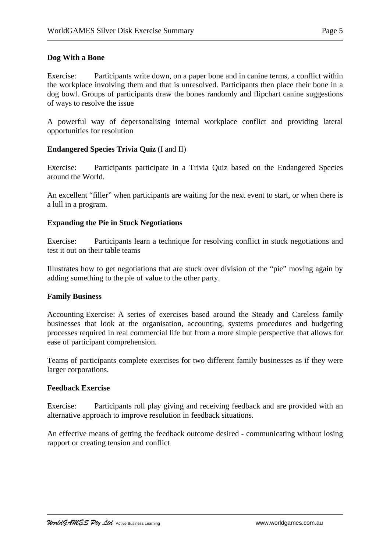## **Dog With a Bone**

Exercise: Participants write down, on a paper bone and in canine terms, a conflict within the workplace involving them and that is unresolved. Participants then place their bone in a dog bowl. Groups of participants draw the bones randomly and flipchart canine suggestions of ways to resolve the issue

A powerful way of depersonalising internal workplace conflict and providing lateral opportunities for resolution

### **Endangered Species Trivia Quiz** (I and II)

Exercise: Participants participate in a Trivia Quiz based on the Endangered Species around the World.

An excellent "filler" when participants are waiting for the next event to start, or when there is a lull in a program.

### **Expanding the Pie in Stuck Negotiations**

Exercise: Participants learn a technique for resolving conflict in stuck negotiations and test it out on their table teams

Illustrates how to get negotiations that are stuck over division of the "pie" moving again by adding something to the pie of value to the other party.

#### **Family Business**

Accounting Exercise: A series of exercises based around the Steady and Careless family businesses that look at the organisation, accounting, systems procedures and budgeting processes required in real commercial life but from a more simple perspective that allows for ease of participant comprehension.

Teams of participants complete exercises for two different family businesses as if they were larger corporations.

#### **Feedback Exercise**

Exercise: Participants roll play giving and receiving feedback and are provided with an alternative approach to improve resolution in feedback situations.

An effective means of getting the feedback outcome desired - communicating without losing rapport or creating tension and conflict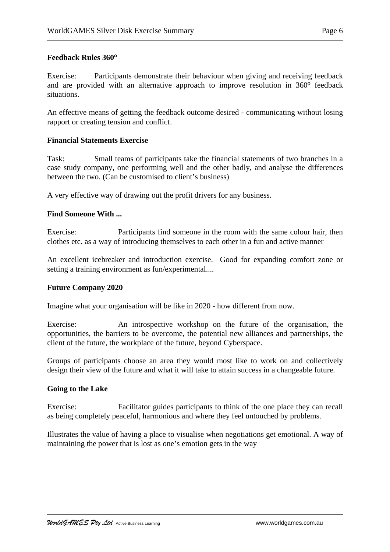Exercise: Participants demonstrate their behaviour when giving and receiving feedback and are provided with an alternative approach to improve resolution in 360º feedback situations.

An effective means of getting the feedback outcome desired - communicating without losing rapport or creating tension and conflict.

## **Financial Statements Exercise**

Task: Small teams of participants take the financial statements of two branches in a case study company, one performing well and the other badly, and analyse the differences between the two. (Can be customised to client's business)

A very effective way of drawing out the profit drivers for any business.

## **Find Someone With ...**

Exercise: Participants find someone in the room with the same colour hair, then clothes etc. as a way of introducing themselves to each other in a fun and active manner

An excellent icebreaker and introduction exercise. Good for expanding comfort zone or setting a training environment as fun/experimental....

## **Future Company 2020**

Imagine what your organisation will be like in 2020 - how different from now.

Exercise: An introspective workshop on the future of the organisation, the opportunities, the barriers to be overcome, the potential new alliances and partnerships, the client of the future, the workplace of the future, beyond Cyberspace.

Groups of participants choose an area they would most like to work on and collectively design their view of the future and what it will take to attain success in a changeable future.

## **Going to the Lake**

Exercise: Facilitator guides participants to think of the one place they can recall as being completely peaceful, harmonious and where they feel untouched by problems.

Illustrates the value of having a place to visualise when negotiations get emotional. A way of maintaining the power that is lost as one's emotion gets in the way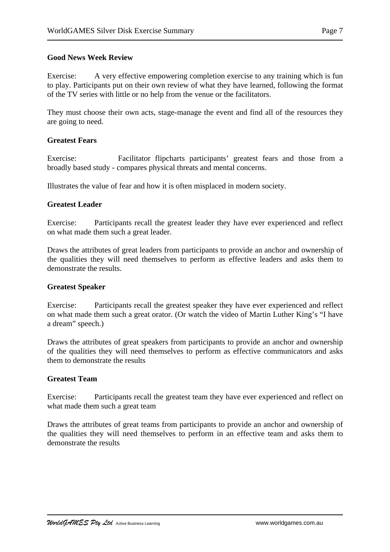## **Good News Week Review**

Exercise: A very effective empowering completion exercise to any training which is fun to play. Participants put on their own review of what they have learned, following the format of the TV series with little or no help from the venue or the facilitators.

They must choose their own acts, stage-manage the event and find all of the resources they are going to need.

#### **Greatest Fears**

Exercise: Facilitator flipcharts participants' greatest fears and those from a broadly based study - compares physical threats and mental concerns.

Illustrates the value of fear and how it is often misplaced in modern society.

### **Greatest Leader**

Exercise: Participants recall the greatest leader they have ever experienced and reflect on what made them such a great leader.

Draws the attributes of great leaders from participants to provide an anchor and ownership of the qualities they will need themselves to perform as effective leaders and asks them to demonstrate the results.

#### **Greatest Speaker**

Exercise: Participants recall the greatest speaker they have ever experienced and reflect on what made them such a great orator. (Or watch the video of Martin Luther King's "I have a dream" speech.)

Draws the attributes of great speakers from participants to provide an anchor and ownership of the qualities they will need themselves to perform as effective communicators and asks them to demonstrate the results

## **Greatest Team**

Exercise: Participants recall the greatest team they have ever experienced and reflect on what made them such a great team

Draws the attributes of great teams from participants to provide an anchor and ownership of the qualities they will need themselves to perform in an effective team and asks them to demonstrate the results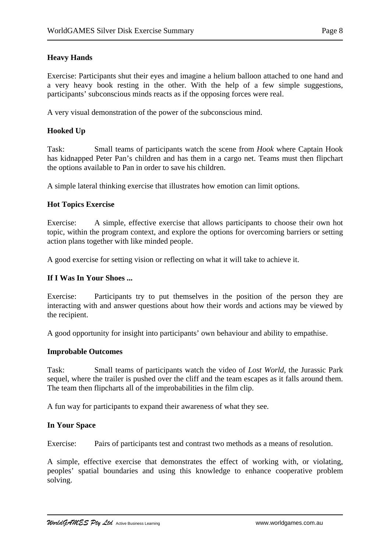# **Heavy Hands**

Exercise: Participants shut their eyes and imagine a helium balloon attached to one hand and a very heavy book resting in the other. With the help of a few simple suggestions, participants' subconscious minds reacts as if the opposing forces were real.

A very visual demonstration of the power of the subconscious mind.

# **Hooked Up**

Task: Small teams of participants watch the scene from *Hook* where Captain Hook has kidnapped Peter Pan's children and has them in a cargo net. Teams must then flipchart the options available to Pan in order to save his children.

A simple lateral thinking exercise that illustrates how emotion can limit options.

## **Hot Topics Exercise**

Exercise: A simple, effective exercise that allows participants to choose their own hot topic, within the program context, and explore the options for overcoming barriers or setting action plans together with like minded people.

A good exercise for setting vision or reflecting on what it will take to achieve it.

## **If I Was In Your Shoes ...**

Exercise: Participants try to put themselves in the position of the person they are interacting with and answer questions about how their words and actions may be viewed by the recipient.

A good opportunity for insight into participants' own behaviour and ability to empathise.

#### **Improbable Outcomes**

Task: Small teams of participants watch the video of *Lost World*, the Jurassic Park sequel, where the trailer is pushed over the cliff and the team escapes as it falls around them. The team then flipcharts all of the improbabilities in the film clip.

A fun way for participants to expand their awareness of what they see.

## **In Your Space**

Exercise: Pairs of participants test and contrast two methods as a means of resolution.

A simple, effective exercise that demonstrates the effect of working with, or violating, peoples' spatial boundaries and using this knowledge to enhance cooperative problem solving.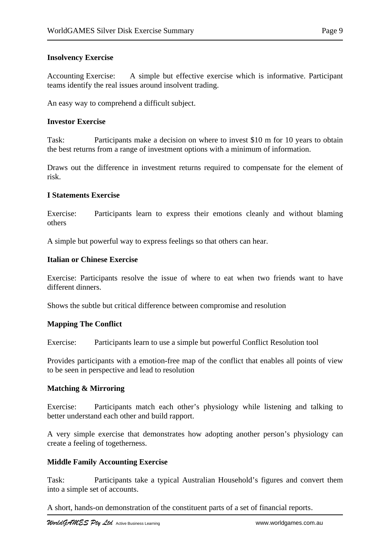## **Insolvency Exercise**

Accounting Exercise: A simple but effective exercise which is informative. Participant teams identify the real issues around insolvent trading.

An easy way to comprehend a difficult subject.

### **Investor Exercise**

Task: Participants make a decision on where to invest \$10 m for 10 years to obtain the best returns from a range of investment options with a minimum of information.

Draws out the difference in investment returns required to compensate for the element of risk.

### **I Statements Exercise**

Exercise: Participants learn to express their emotions cleanly and without blaming others

A simple but powerful way to express feelings so that others can hear.

### **Italian or Chinese Exercise**

Exercise: Participants resolve the issue of where to eat when two friends want to have different dinners.

Shows the subtle but critical difference between compromise and resolution

#### **Mapping The Conflict**

Exercise: Participants learn to use a simple but powerful Conflict Resolution tool

Provides participants with a emotion-free map of the conflict that enables all points of view to be seen in perspective and lead to resolution

## **Matching & Mirroring**

Exercise: Participants match each other's physiology while listening and talking to better understand each other and build rapport.

A very simple exercise that demonstrates how adopting another person's physiology can create a feeling of togetherness.

#### **Middle Family Accounting Exercise**

Task: Participants take a typical Australian Household's figures and convert them into a simple set of accounts.

A short, hands-on demonstration of the constituent parts of a set of financial reports.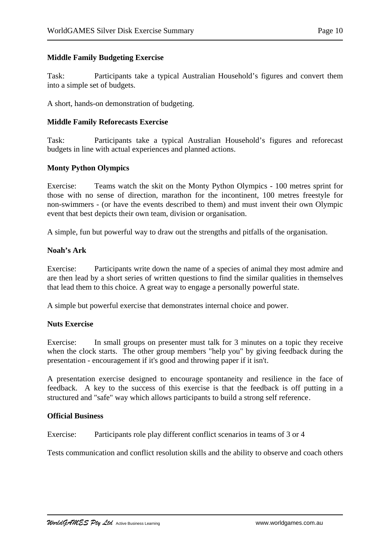### **Middle Family Budgeting Exercise**

Task: Participants take a typical Australian Household's figures and convert them into a simple set of budgets.

A short, hands-on demonstration of budgeting.

#### **Middle Family Reforecasts Exercise**

Task: Participants take a typical Australian Household's figures and reforecast budgets in line with actual experiences and planned actions.

#### **Monty Python Olympics**

Exercise: Teams watch the skit on the Monty Python Olympics - 100 metres sprint for those with no sense of direction, marathon for the incontinent, 100 metres freestyle for non-swimmers - (or have the events described to them) and must invent their own Olympic event that best depicts their own team, division or organisation.

A simple, fun but powerful way to draw out the strengths and pitfalls of the organisation.

#### **Noah's Ark**

Exercise: Participants write down the name of a species of animal they most admire and are then lead by a short series of written questions to find the similar qualities in themselves that lead them to this choice. A great way to engage a personally powerful state.

A simple but powerful exercise that demonstrates internal choice and power.

#### **Nuts Exercise**

Exercise: In small groups on presenter must talk for 3 minutes on a topic they receive when the clock starts. The other group members "help you" by giving feedback during the presentation - encouragement if it's good and throwing paper if it isn't.

A presentation exercise designed to encourage spontaneity and resilience in the face of feedback.A key to the success of this exercise is that the feedback is off putting in a structured and "safe" way which allows participants to build a strong self reference.

#### **Official Business**

Exercise: Participants role play different conflict scenarios in teams of 3 or 4

Tests communication and conflict resolution skills and the ability to observe and coach others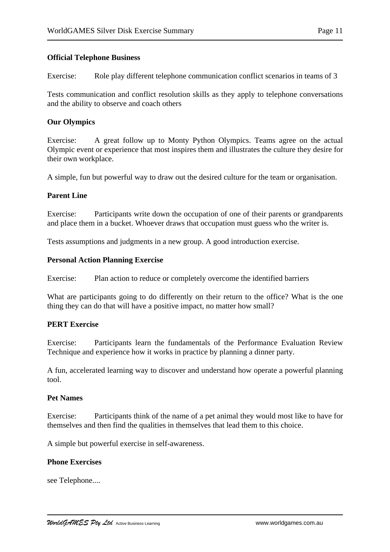#### **Official Telephone Business**

Exercise: Role play different telephone communication conflict scenarios in teams of 3

Tests communication and conflict resolution skills as they apply to telephone conversations and the ability to observe and coach others

### **Our Olympics**

Exercise: A great follow up to Monty Python Olympics. Teams agree on the actual Olympic event or experience that most inspires them and illustrates the culture they desire for their own workplace.

A simple, fun but powerful way to draw out the desired culture for the team or organisation.

#### **Parent Line**

Exercise: Participants write down the occupation of one of their parents or grandparents and place them in a bucket. Whoever draws that occupation must guess who the writer is.

Tests assumptions and judgments in a new group. A good introduction exercise.

#### **Personal Action Planning Exercise**

Exercise: Plan action to reduce or completely overcome the identified barriers

What are participants going to do differently on their return to the office? What is the one thing they can do that will have a positive impact, no matter how small?

#### **PERT Exercise**

Exercise: Participants learn the fundamentals of the Performance Evaluation Review Technique and experience how it works in practice by planning a dinner party.

A fun, accelerated learning way to discover and understand how operate a powerful planning tool.

#### **Pet Names**

Exercise: Participants think of the name of a pet animal they would most like to have for themselves and then find the qualities in themselves that lead them to this choice.

A simple but powerful exercise in self-awareness.

#### **Phone Exercises**

see Telephone....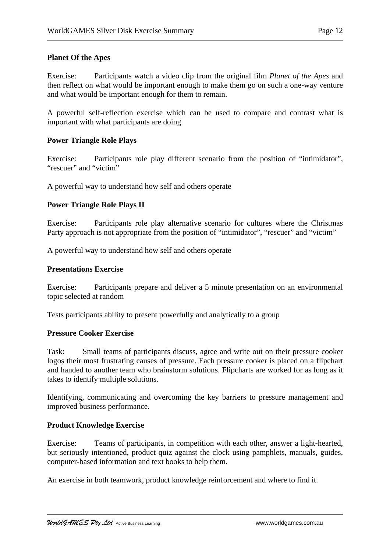Exercise: Participants watch a video clip from the original film *Planet of the Apes* and then reflect on what would be important enough to make them go on such a one-way venture and what would be important enough for them to remain.

A powerful self-reflection exercise which can be used to compare and contrast what is important with what participants are doing.

## **Power Triangle Role Plays**

Exercise: Participants role play different scenario from the position of "intimidator", "rescuer" and "victim"

A powerful way to understand how self and others operate

## **Power Triangle Role Plays II**

Exercise: Participants role play alternative scenario for cultures where the Christmas Party approach is not appropriate from the position of "intimidator", "rescuer" and "victim"

A powerful way to understand how self and others operate

### **Presentations Exercise**

Exercise: Participants prepare and deliver a 5 minute presentation on an environmental topic selected at random

Tests participants ability to present powerfully and analytically to a group

#### **Pressure Cooker Exercise**

Task: Small teams of participants discuss, agree and write out on their pressure cooker logos their most frustrating causes of pressure. Each pressure cooker is placed on a flipchart and handed to another team who brainstorm solutions. Flipcharts are worked for as long as it takes to identify multiple solutions.

Identifying, communicating and overcoming the key barriers to pressure management and improved business performance.

## **Product Knowledge Exercise**

Exercise: Teams of participants, in competition with each other, answer a light-hearted, but seriously intentioned, product quiz against the clock using pamphlets, manuals, guides, computer-based information and text books to help them.

An exercise in both teamwork, product knowledge reinforcement and where to find it.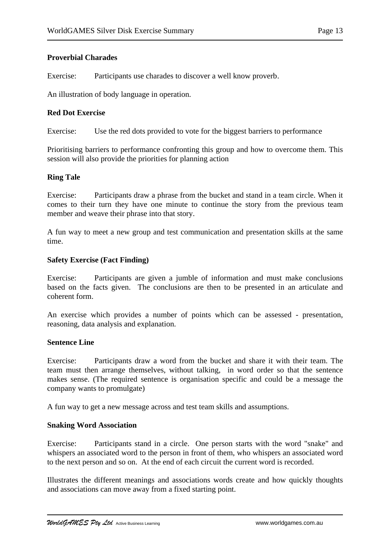Exercise: Participants use charades to discover a well know proverb.

An illustration of body language in operation.

## **Red Dot Exercise**

Exercise: Use the red dots provided to vote for the biggest barriers to performance

Prioritising barriers to performance confronting this group and how to overcome them. This session will also provide the priorities for planning action

### **Ring Tale**

Exercise: Participants draw a phrase from the bucket and stand in a team circle. When it comes to their turn they have one minute to continue the story from the previous team member and weave their phrase into that story.

A fun way to meet a new group and test communication and presentation skills at the same time.

#### **Safety Exercise (Fact Finding)**

Exercise: Participants are given a jumble of information and must make conclusions based on the facts given. The conclusions are then to be presented in an articulate and coherent form.

An exercise which provides a number of points which can be assessed - presentation, reasoning, data analysis and explanation.

#### **Sentence Line**

Exercise: Participants draw a word from the bucket and share it with their team. The team must then arrange themselves, without talking, in word order so that the sentence makes sense. (The required sentence is organisation specific and could be a message the company wants to promulgate)

A fun way to get a new message across and test team skills and assumptions.

#### **Snaking Word Association**

Exercise: Participants stand in a circle. One person starts with the word "snake" and whispers an associated word to the person in front of them, who whispers an associated word to the next person and so on. At the end of each circuit the current word is recorded.

Illustrates the different meanings and associations words create and how quickly thoughts and associations can move away from a fixed starting point.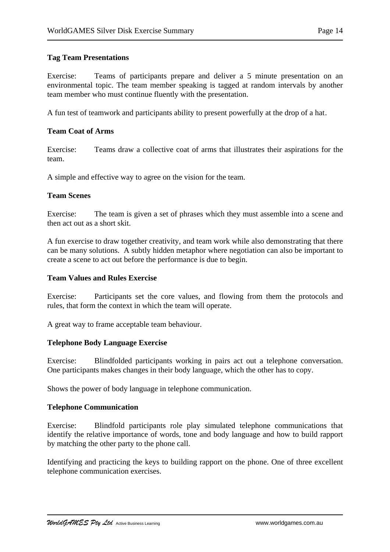Exercise: Teams of participants prepare and deliver a 5 minute presentation on an environmental topic. The team member speaking is tagged at random intervals by another team member who must continue fluently with the presentation.

A fun test of teamwork and participants ability to present powerfully at the drop of a hat.

### **Team Coat of Arms**

Exercise: Teams draw a collective coat of arms that illustrates their aspirations for the team.

A simple and effective way to agree on the vision for the team.

### **Team Scenes**

Exercise: The team is given a set of phrases which they must assemble into a scene and then act out as a short skit.

A fun exercise to draw together creativity, and team work while also demonstrating that there can be many solutions. A subtly hidden metaphor where negotiation can also be important to create a scene to act out before the performance is due to begin.

#### **Team Values and Rules Exercise**

Exercise: Participants set the core values, and flowing from them the protocols and rules, that form the context in which the team will operate.

A great way to frame acceptable team behaviour.

## **Telephone Body Language Exercise**

Exercise: Blindfolded participants working in pairs act out a telephone conversation. One participants makes changes in their body language, which the other has to copy.

Shows the power of body language in telephone communication.

#### **Telephone Communication**

Exercise: Blindfold participants role play simulated telephone communications that identify the relative importance of words, tone and body language and how to build rapport by matching the other party to the phone call.

Identifying and practicing the keys to building rapport on the phone. One of three excellent telephone communication exercises.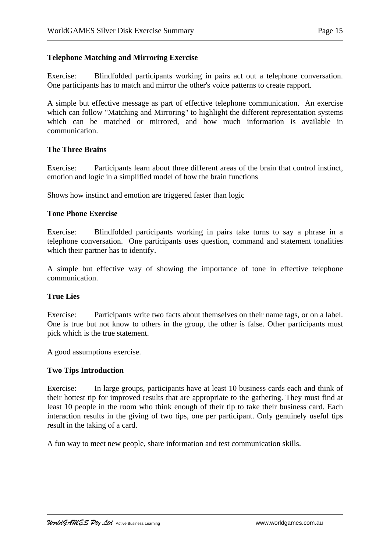## **Telephone Matching and Mirroring Exercise**

Exercise: Blindfolded participants working in pairs act out a telephone conversation. One participants has to match and mirror the other's voice patterns to create rapport.

A simple but effective message as part of effective telephone communication. An exercise which can follow "Matching and Mirroring" to highlight the different representation systems which can be matched or mirrored, and how much information is available in communication.

#### **The Three Brains**

Exercise: Participants learn about three different areas of the brain that control instinct, emotion and logic in a simplified model of how the brain functions

Shows how instinct and emotion are triggered faster than logic

### **Tone Phone Exercise**

Exercise: Blindfolded participants working in pairs take turns to say a phrase in a telephone conversation. One participants uses question, command and statement tonalities which their partner has to identify.

A simple but effective way of showing the importance of tone in effective telephone communication.

## **True Lies**

Exercise: Participants write two facts about themselves on their name tags, or on a label. One is true but not know to others in the group, the other is false. Other participants must pick which is the true statement.

A good assumptions exercise.

#### **Two Tips Introduction**

Exercise: In large groups, participants have at least 10 business cards each and think of their hottest tip for improved results that are appropriate to the gathering. They must find at least 10 people in the room who think enough of their tip to take their business card. Each interaction results in the giving of two tips, one per participant. Only genuinely useful tips result in the taking of a card.

A fun way to meet new people, share information and test communication skills.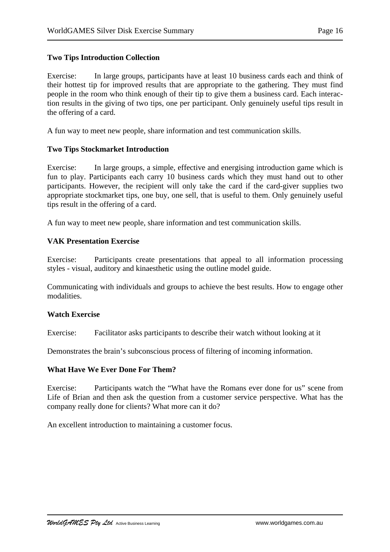#### **Two Tips Introduction Collection**

Exercise: In large groups, participants have at least 10 business cards each and think of their hottest tip for improved results that are appropriate to the gathering. They must find people in the room who think enough of their tip to give them a business card. Each interaction results in the giving of two tips, one per participant. Only genuinely useful tips result in the offering of a card.

A fun way to meet new people, share information and test communication skills.

### **Two Tips Stockmarket Introduction**

Exercise: In large groups, a simple, effective and energising introduction game which is fun to play. Participants each carry 10 business cards which they must hand out to other participants. However, the recipient will only take the card if the card-giver supplies two appropriate stockmarket tips, one buy, one sell, that is useful to them. Only genuinely useful tips result in the offering of a card.

A fun way to meet new people, share information and test communication skills.

## **VAK Presentation Exercise**

Exercise: Participants create presentations that appeal to all information processing styles - visual, auditory and kinaesthetic using the outline model guide.

Communicating with individuals and groups to achieve the best results. How to engage other modalities.

#### **Watch Exercise**

Exercise: Facilitator asks participants to describe their watch without looking at it

Demonstrates the brain's subconscious process of filtering of incoming information.

#### **What Have We Ever Done For Them?**

Exercise: Participants watch the "What have the Romans ever done for us" scene from Life of Brian and then ask the question from a customer service perspective. What has the company really done for clients? What more can it do?

An excellent introduction to maintaining a customer focus.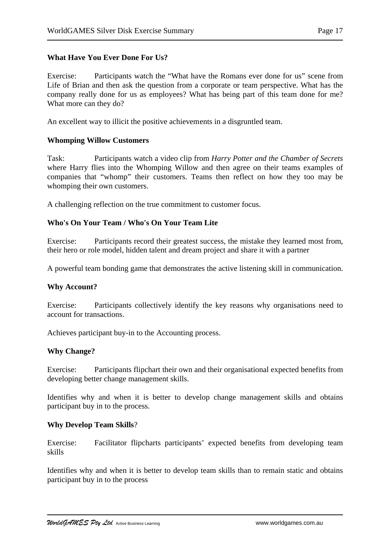### **What Have You Ever Done For Us?**

Exercise: Participants watch the "What have the Romans ever done for us" scene from Life of Brian and then ask the question from a corporate or team perspective. What has the company really done for us as employees? What has being part of this team done for me? What more can they do?

An excellent way to illicit the positive achievements in a disgruntled team.

#### **Whomping Willow Customers**

Task: Participants watch a video clip from *Harry Potter and the Chamber of Secrets* where Harry flies into the Whomping Willow and then agree on their teams examples of companies that "whomp" their customers. Teams then reflect on how they too may be whomping their own customers.

A challenging reflection on the true commitment to customer focus.

## **Who's On Your Team / Who's On Your Team Lite**

Exercise: Participants record their greatest success, the mistake they learned most from, their hero or role model, hidden talent and dream project and share it with a partner

A powerful team bonding game that demonstrates the active listening skill in communication.

#### **Why Account?**

Exercise: Participants collectively identify the key reasons why organisations need to account for transactions.

Achieves participant buy-in to the Accounting process.

#### **Why Change?**

Exercise: Participants flipchart their own and their organisational expected benefits from developing better change management skills.

Identifies why and when it is better to develop change management skills and obtains participant buy in to the process.

#### **Why Develop Team Skills**?

Exercise: Facilitator flipcharts participants' expected benefits from developing team skills

Identifies why and when it is better to develop team skills than to remain static and obtains participant buy in to the process